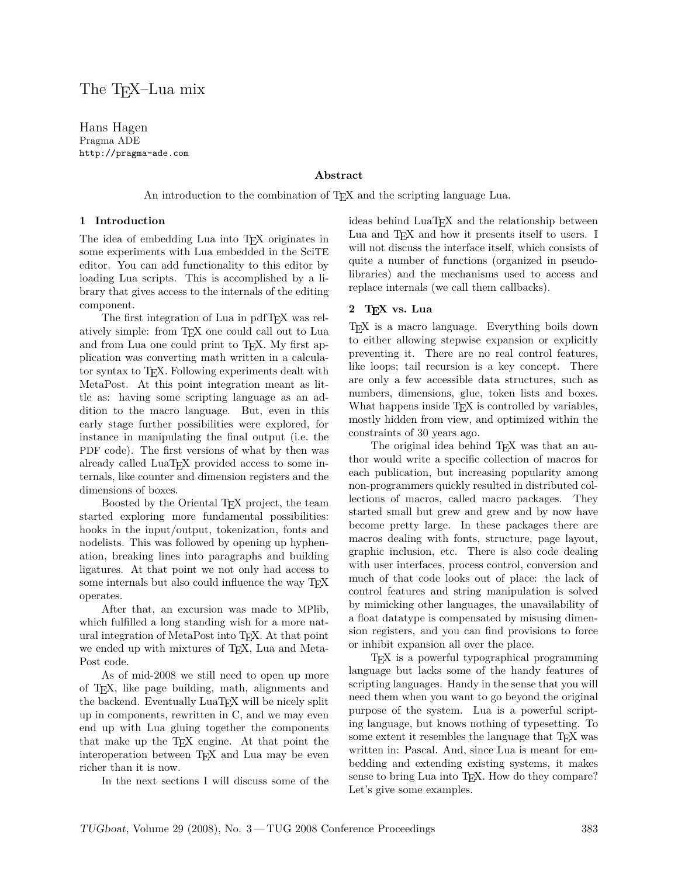# The TEX–Lua mix

Hans Hagen Pragma ADE http://pragma-ade.com

### **Abstract**

An introduction to the combination of T<sub>E</sub>X and the scripting language Lua.

#### **1 Introduction**

The idea of embedding Lua into T<sub>E</sub>X originates in some experiments with Lua embedded in the SciTE editor. You can add functionality to this editor by loading Lua scripts. This is accomplished by a library that gives access to the internals of the editing component.

The first integration of Lua in pdfTEX was relatively simple: from TEX one could call out to Lua and from Lua one could print to T<sub>E</sub>X. My first application was converting math written in a calculator syntax to T<sub>E</sub>X. Following experiments dealt with MetaPost. At this point integration meant as little as: having some scripting language as an addition to the macro language. But, even in this early stage further possibilities were explored, for instance in manipulating the final output (i.e. the PDF code). The first versions of what by then was already called LuaT<sub>EX</sub> provided access to some internals, like counter and dimension registers and the dimensions of boxes.

Boosted by the Oriental TEX project, the team started exploring more fundamental possibilities: hooks in the input/output, tokenization, fonts and nodelists. This was followed by opening up hyphenation, breaking lines into paragraphs and building ligatures. At that point we not only had access to some internals but also could influence the way T<sub>E</sub>X operates.

After that, an excursion was made to MPlib, which fulfilled a long standing wish for a more natural integration of MetaPost into TEX. At that point we ended up with mixtures of T<sub>EX</sub>, Lua and Meta-Post code.

As of mid-2008 we still need to open up more of TEX, like page building, math, alignments and the backend. Eventually LuaT<sub>EX</sub> will be nicely split up in components, rewritten in C, and we may even end up with Lua gluing together the components that make up the TEX engine. At that point the interoperation between T<sub>E</sub>X and Lua may be even richer than it is now.

In the next sections I will discuss some of the

ideas behind LuaT<sub>E</sub>X and the relationship between Lua and T<sub>E</sub>X and how it presents itself to users. I will not discuss the interface itself, which consists of quite a number of functions (organized in pseudolibraries) and the mechanisms used to access and replace internals (we call them callbacks).

#### **2 TEX vs. Lua**

TEX is a macro language. Everything boils down to either allowing stepwise expansion or explicitly preventing it. There are no real control features, like loops; tail recursion is a key concept. There are only a few accessible data structures, such as numbers, dimensions, glue, token lists and boxes. What happens inside T<sub>E</sub>X is controlled by variables, mostly hidden from view, and optimized within the constraints of 30 years ago.

The original idea behind T<sub>E</sub>X was that an author would write a specific collection of macros for each publication, but increasing popularity among non-programmers quickly resulted in distributed collections of macros, called macro packages. They started small but grew and grew and by now have become pretty large. In these packages there are macros dealing with fonts, structure, page layout, graphic inclusion, etc. There is also code dealing with user interfaces, process control, conversion and much of that code looks out of place: the lack of control features and string manipulation is solved by mimicking other languages, the unavailability of a float datatype is compensated by misusing dimension registers, and you can find provisions to force or inhibit expansion all over the place.

TEX is a powerful typographical programming language but lacks some of the handy features of scripting languages. Handy in the sense that you will need them when you want to go beyond the original purpose of the system. Lua is a powerful scripting language, but knows nothing of typesetting. To some extent it resembles the language that T<sub>E</sub>X was written in: Pascal. And, since Lua is meant for embedding and extending existing systems, it makes sense to bring Lua into T<sub>E</sub>X. How do they compare? Let's give some examples.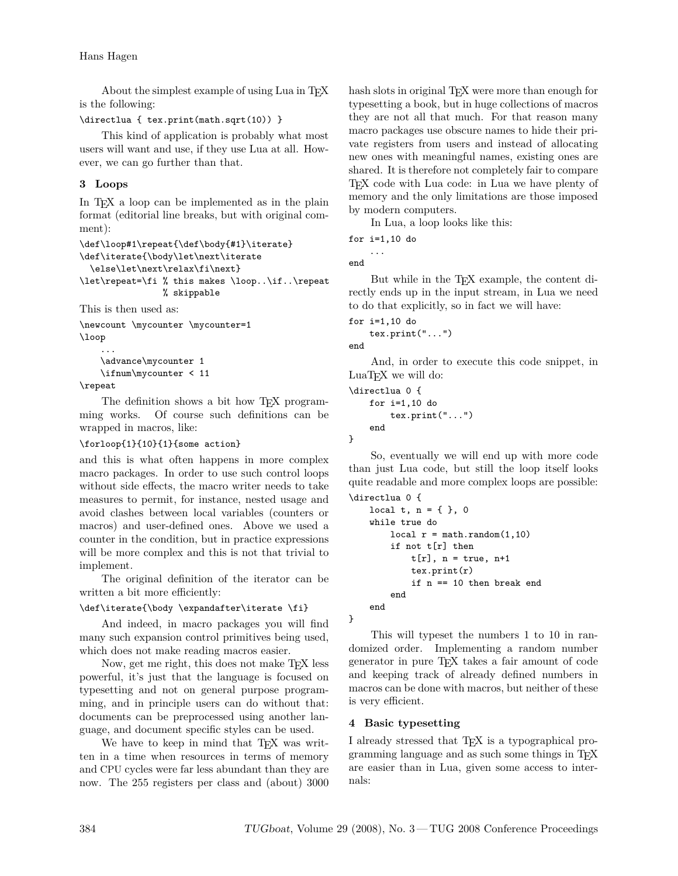About the simplest example of using Lua in T<sub>E</sub>X is the following:

```
\directlua { tex.print(math.sqrt(10)) }
```
This kind of application is probably what most users will want and use, if they use Lua at all. However, we can go further than that.

# **3 Loops**

In T<sub>E</sub>X a loop can be implemented as in the plain format (editorial line breaks, but with original comment):

```
\def\loop#1\repeat{\def\body{#1}\iterate}
\def\iterate{\body\let\next\iterate
 \else\let\next\relax\fi\next}
\let\repeat=\fi % this makes \loop..\if..\repeat
                % skippable
```
This is then used as:

\newcount \mycounter \mycounter=1 \loop

```
...
\advance\mycounter 1
\ifnum\mycounter < 11
```
\repeat

The definition shows a bit how T<sub>E</sub>X programming works. Of course such definitions can be wrapped in macros, like:

### \forloop{1}{10}{1}{some action}

and this is what often happens in more complex macro packages. In order to use such control loops without side effects, the macro writer needs to take measures to permit, for instance, nested usage and avoid clashes between local variables (counters or macros) and user-defined ones. Above we used a counter in the condition, but in practice expressions will be more complex and this is not that trivial to implement.

The original definition of the iterator can be written a bit more efficiently:

### \def\iterate{\body \expandafter\iterate \fi}

And indeed, in macro packages you will find many such expansion control primitives being used, which does not make reading macros easier.

Now, get me right, this does not make T<sub>E</sub>X less powerful, it's just that the language is focused on typesetting and not on general purpose programming, and in principle users can do without that: documents can be preprocessed using another language, and document specific styles can be used.

We have to keep in mind that T<sub>E</sub>X was written in a time when resources in terms of memory and CPU cycles were far less abundant than they are now. The 255 registers per class and (about) 3000 hash slots in original T<sub>E</sub>X were more than enough for typesetting a book, but in huge collections of macros they are not all that much. For that reason many macro packages use obscure names to hide their private registers from users and instead of allocating new ones with meaningful names, existing ones are shared. It is therefore not completely fair to compare TEX code with Lua code: in Lua we have plenty of memory and the only limitations are those imposed by modern computers.

In Lua, a loop looks like this:

```
for i=1,10 do
    ...
```
end

But while in the TEX example, the content directly ends up in the input stream, in Lua we need to do that explicitly, so in fact we will have:

```
for i=1,10 do
    tex.print("...")
```
end

}

}

And, in order to execute this code snippet, in LuaT<sub>EX</sub> we will do:

```
\directlua 0 {
    for i=1,10 do
        tex.print("...")
    end
```
So, eventually we will end up with more code than just Lua code, but still the loop itself looks quite readable and more complex loops are possible:

```
\directlua 0 {
    local t, n = \{ \}, 0
    while true do
        local r = \text{math.random}(1, 10)if not t[r] then
             t[r], n = true, n+1
             tex.print(r)
             if n == 10 then break end
        end
    end
```
This will typeset the numbers 1 to 10 in randomized order. Implementing a random number generator in pure TEX takes a fair amount of code and keeping track of already defined numbers in macros can be done with macros, but neither of these is very efficient.

### **4 Basic typesetting**

I already stressed that T<sub>E</sub>X is a typographical programming language and as such some things in TEX are easier than in Lua, given some access to internals: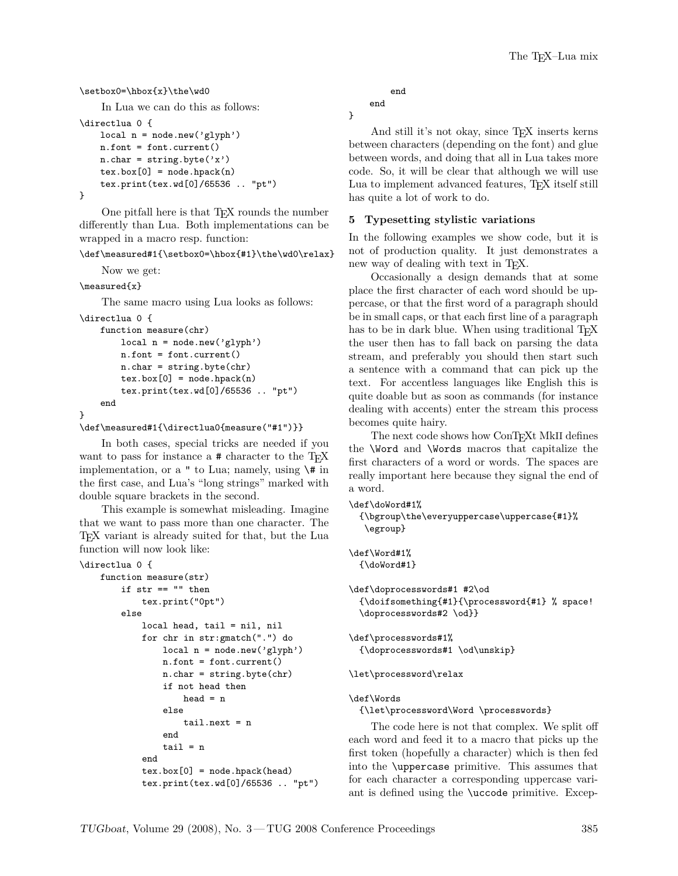```
\setbox0=\hbox{x}\the\wd0
```

```
In Lua we can do this as follows:
```

```
\directlua 0 {
```

```
local n = node.new('glyph')
    n.font = font.current()
    n{\cdot}char = string{\cdot}byte('x')textrm{.box}[0] = node.hpack(n)tex.print(tex.wd[0]/65536 .. "pt")
}
```
One pitfall here is that TEX rounds the number differently than Lua. Both implementations can be wrapped in a macro resp. function:

\def\measured#1{\setbox0=\hbox{#1}\the\wd0\relax}

```
Now we get:
```
\measured{x}

The same macro using Lua looks as follows:

```
\directlua 0 {
    function measure(chr)
        local n = node.new('glyph')
        n.font = font.current()
        n{\cdot}char = string{\cdot}byte(chr)textrm{tex}.box[0] = node.hpack(n)tex.print(tex.wd[0]/65536 .. "pt")
    end
}
```

```
\def\measured#1{\directlua0{measure("#1")}}
```
In both cases, special tricks are needed if you want to pass for instance a  $\#$  character to the T<sub>E</sub>X implementation, or a  $"$  to Lua; namely, using  $\setminus$ # in the first case, and Lua's "long strings" marked with double square brackets in the second.

This example is somewhat misleading. Imagine that we want to pass more than one character. The TEX variant is already suited for that, but the Lua function will now look like:

```
\directlua 0 {
```

```
function measure(str)
    if str == "" then
        tex.print("0pt")
    else
        local head, tail = nil, nil
        for chr in str:gmatch(".") do
            local n = node.new('glyph')n.font = font.current()
            n{\cdot}char = string{\cdot}byte(chr)if not head then
                 head = nelse
                 tail.next = n
             end
             tail = nend
        textrm{tex} [0] = node.hpack(head)
        tex.print(tex.wd[0]/65536 .. "pt")
```

```
end
end
```
}

And still it's not okay, since TEX inserts kerns between characters (depending on the font) and glue between words, and doing that all in Lua takes more code. So, it will be clear that although we will use Lua to implement advanced features, T<sub>E</sub>X itself still has quite a lot of work to do.

### **5 Typesetting stylistic variations**

In the following examples we show code, but it is not of production quality. It just demonstrates a new way of dealing with text in TEX.

Occasionally a design demands that at some place the first character of each word should be uppercase, or that the first word of a paragraph should be in small caps, or that each first line of a paragraph has to be in dark blue. When using traditional T<sub>E</sub>X the user then has to fall back on parsing the data stream, and preferably you should then start such a sentence with a command that can pick up the text. For accentless languages like English this is quite doable but as soon as commands (for instance dealing with accents) enter the stream this process becomes quite hairy.

The next code shows how ConTEXt MkII defines the \Word and \Words macros that capitalize the first characters of a word or words. The spaces are really important here because they signal the end of a word.

```
\def\doWord#1%
```

```
{\bgroup\the\everyuppercase\uppercase{#1}%
\egroup}
```
\def\Word#1% {\doWord#1}

\def\doprocesswords#1 #2\od {\doifsomething{#1}{\processword{#1} % space! \doprocesswords#2 \od}}

```
\def\processwords#1%
  {\doprocesswords#1 \od\unskip}
```
\let\processword\relax

```
\def\Words
```
{\let\processword\Word \processwords}

The code here is not that complex. We split off each word and feed it to a macro that picks up the first token (hopefully a character) which is then fed into the \uppercase primitive. This assumes that for each character a corresponding uppercase variant is defined using the \uccode primitive. Excep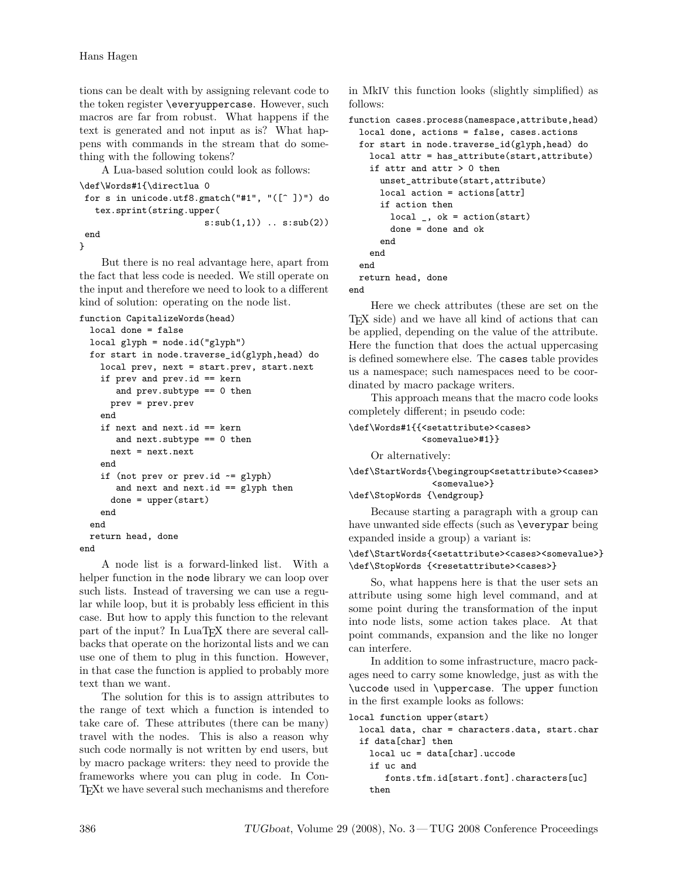tions can be dealt with by assigning relevant code to the token register \everyuppercase. However, such macros are far from robust. What happens if the text is generated and not input as is? What happens with commands in the stream that do something with the following tokens?

A Lua-based solution could look as follows:

```
\def\Words#1{\directlua 0
for s in unicode.utf8.gmatch("#1", "([^ ])") do
   tex.sprint(string.upper(
                        s:sub(1,1)) .. s:sub(2)end
}
```
But there is no real advantage here, apart from the fact that less code is needed. We still operate on the input and therefore we need to look to a different kind of solution: operating on the node list.

function CapitalizeWords(head)

```
local done = false
 local glyph = node.id("glyph")
 for start in node.traverse_id(glyph,head) do
   local prev, next = start.prev, start.next
    if prev and prev.id == kern
       and prev.subtype == 0 then
     prev = prev.prev
    end
    if next and next.id == kern
       and next.subtype == 0 then
     next = next.next
    end
    if (not prev or prev.id \sim = glyph)
       and next and next.id == glyph then
      done = upper(start)
    end
  end
 return head, done
end
```
A node list is a forward-linked list. With a helper function in the node library we can loop over such lists. Instead of traversing we can use a regular while loop, but it is probably less efficient in this case. But how to apply this function to the relevant part of the input? In LuaT<sub>EX</sub> there are several callbacks that operate on the horizontal lists and we can use one of them to plug in this function. However, in that case the function is applied to probably more text than we want.

The solution for this is to assign attributes to the range of text which a function is intended to take care of. These attributes (there can be many) travel with the nodes. This is also a reason why such code normally is not written by end users, but by macro package writers: they need to provide the frameworks where you can plug in code. In Con-TEXt we have several such mechanisms and therefore in MkIV this function looks (slightly simplified) as follows:

```
function cases.process(namespace,attribute,head)
  local done, actions = false, cases.actions
  for start in node.traverse_id(glyph,head) do
    local attr = has_attribute(start,attribute)
    if attr and attr > 0 then
      unset_attribute(start,attribute)
      local action = actions[attr]
      if action then
        local, ok = action(start)
        done = done and ok
      end
    end
  end
 return head, done
end
```
Here we check attributes (these are set on the TEX side) and we have all kind of actions that can be applied, depending on the value of the attribute. Here the function that does the actual uppercasing is defined somewhere else. The cases table provides us a namespace; such namespaces need to be coordinated by macro package writers.

This approach means that the macro code looks completely different; in pseudo code:

```
\def\Words#1{{<setattribute><cases>
```
<somevalue>#1}}

Or alternatively:

# \def\StartWords{\begingroup<setattribute><cases> <somevalue>}

#### \def\StopWords {\endgroup}

Because starting a paragraph with a group can have unwanted side effects (such as \everypar being expanded inside a group) a variant is:

#### \def\StartWords{<setattribute><cases><somevalue>} \def\StopWords {<resetattribute><cases>}

So, what happens here is that the user sets an attribute using some high level command, and at some point during the transformation of the input into node lists, some action takes place. At that point commands, expansion and the like no longer can interfere.

In addition to some infrastructure, macro packages need to carry some knowledge, just as with the \uccode used in \uppercase. The upper function in the first example looks as follows:

local function upper(start)

local data, char = characters.data, start.char if data[char] then

local uc = data[char].uccode

if uc and

fonts.tfm.id[start.font].characters[uc] then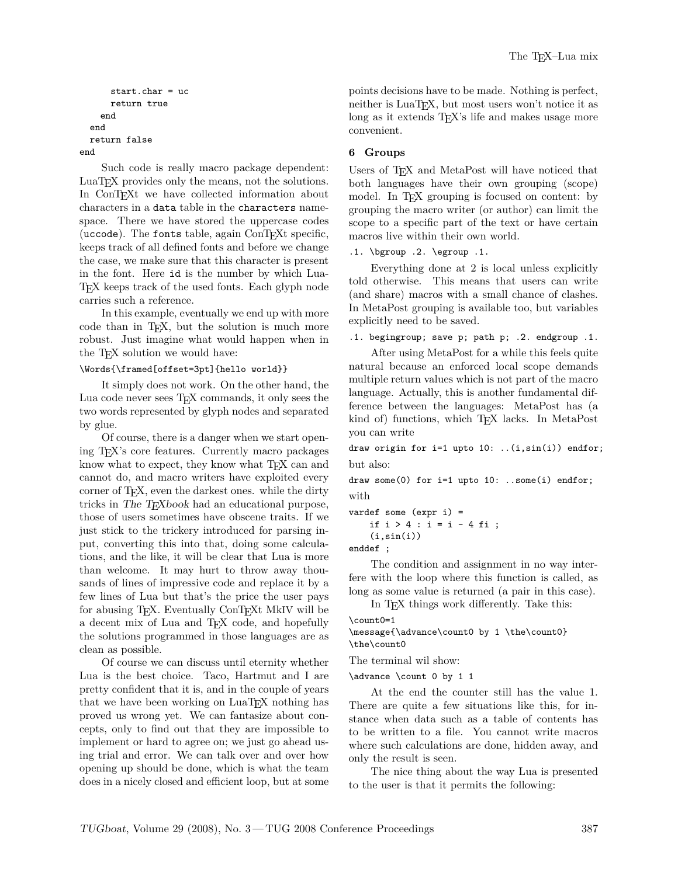```
start.char = uc
      return true
    end
  end
  return false
end
```
Such code is really macro package dependent: LuaT<sub>EX</sub> provides only the means, not the solutions. In ConT<sub>E</sub>Xt we have collected information about characters in a data table in the characters namespace. There we have stored the uppercase codes (uccode). The fonts table, again  $ConTrXt$  specific, keeps track of all defined fonts and before we change the case, we make sure that this character is present in the font. Here id is the number by which Lua-TEX keeps track of the used fonts. Each glyph node carries such a reference.

In this example, eventually we end up with more code than in T<sub>E</sub>X, but the solution is much more robust. Just imagine what would happen when in the T<sub>E</sub>X solution we would have:

#### \Words{\framed[offset=3pt]{hello world}}

It simply does not work. On the other hand, the Lua code never sees T<sub>F</sub>X commands, it only sees the two words represented by glyph nodes and separated by glue.

Of course, there is a danger when we start opening TEX's core features. Currently macro packages know what to expect, they know what T<sub>E</sub>X can and cannot do, and macro writers have exploited every corner of T<sub>E</sub>X, even the darkest ones. while the dirty tricks in The T<sub>E</sub>Xbook had an educational purpose, those of users sometimes have obscene traits. If we just stick to the trickery introduced for parsing input, converting this into that, doing some calculations, and the like, it will be clear that Lua is more than welcome. It may hurt to throw away thousands of lines of impressive code and replace it by a few lines of Lua but that's the price the user pays for abusing TEX. Eventually ConTEXt MkIV will be a decent mix of Lua and TEX code, and hopefully the solutions programmed in those languages are as clean as possible.

Of course we can discuss until eternity whether Lua is the best choice. Taco, Hartmut and I are pretty confident that it is, and in the couple of years that we have been working on LuaT<sub>EX</sub> nothing has proved us wrong yet. We can fantasize about concepts, only to find out that they are impossible to implement or hard to agree on; we just go ahead using trial and error. We can talk over and over how opening up should be done, which is what the team does in a nicely closed and efficient loop, but at some points decisions have to be made. Nothing is perfect, neither is LuaT<sub>E</sub>X, but most users won't notice it as long as it extends T<sub>EX</sub>'s life and makes usage more convenient.

### **6 Groups**

Users of T<sub>F</sub>X and MetaPost will have noticed that both languages have their own grouping (scope) model. In T<sub>E</sub>X grouping is focused on content: by grouping the macro writer (or author) can limit the scope to a specific part of the text or have certain macros live within their own world.

```
.1. \bgroup .2. \egroup .1.
```
Everything done at 2 is local unless explicitly told otherwise. This means that users can write (and share) macros with a small chance of clashes. In MetaPost grouping is available too, but variables explicitly need to be saved.

.1. begingroup; save p; path p; .2. endgroup .1.

After using MetaPost for a while this feels quite natural because an enforced local scope demands multiple return values which is not part of the macro language. Actually, this is another fundamental difference between the languages: MetaPost has (a kind of) functions, which T<sub>E</sub>X lacks. In MetaPost you can write

draw origin for i=1 upto 10: ..(i,sin(i)) endfor; but also:

draw some(0) for i=1 upto 10: ..some(i) endfor; with

vardef some (expr i) = if i > 4 : i = i - 4 fi ;  $(i, sin(i))$ 

enddef ;

The condition and assignment in no way interfere with the loop where this function is called, as long as some value is returned (a pair in this case).

In T<sub>F</sub>X things work differently. Take this:  $\binom{n}{0}$ 

```
\message{\advance\count0 by 1 \the\count0}
\the\count0
```
The terminal wil show:

\advance \count 0 by 1 1

At the end the counter still has the value 1. There are quite a few situations like this, for instance when data such as a table of contents has to be written to a file. You cannot write macros where such calculations are done, hidden away, and only the result is seen.

The nice thing about the way Lua is presented to the user is that it permits the following: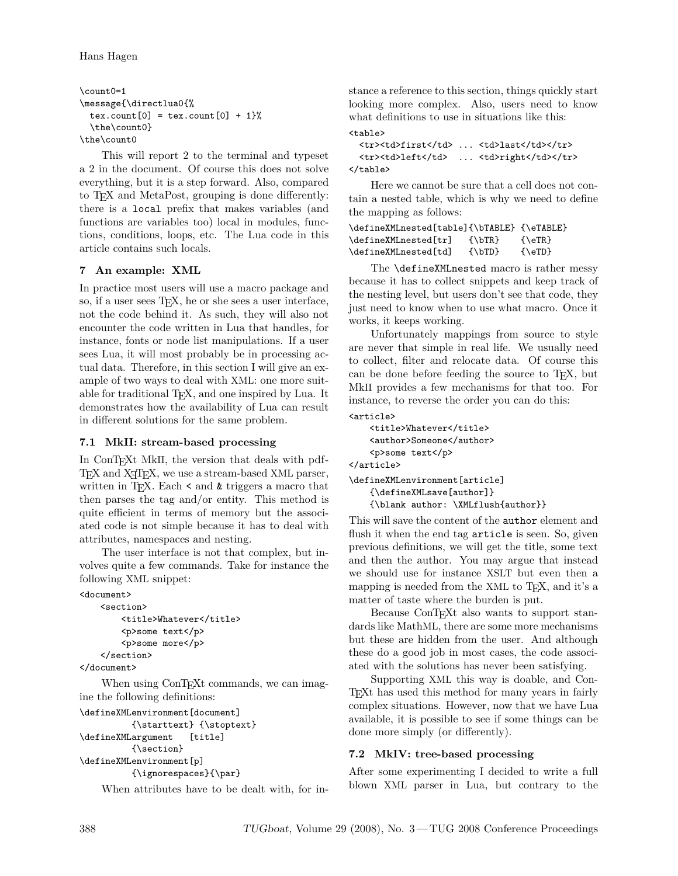```
\count0=1
\message{\directlua0{%
 text.count[0] = text.count[0] + 1%\the\count0}
\the\count0
```
This will report 2 to the terminal and typeset a 2 in the document. Of course this does not solve everything, but it is a step forward. Also, compared to TEX and MetaPost, grouping is done differently: there is a local prefix that makes variables (and functions are variables too) local in modules, functions, conditions, loops, etc. The Lua code in this article contains such locals.

### **7 An example: XML**

In practice most users will use a macro package and so, if a user sees T<sub>E</sub>X, he or she sees a user interface, not the code behind it. As such, they will also not encounter the code written in Lua that handles, for instance, fonts or node list manipulations. If a user sees Lua, it will most probably be in processing actual data. Therefore, in this section I will give an example of two ways to deal with XML: one more suitable for traditional T<sub>E</sub>X, and one inspired by Lua. It demonstrates how the availability of Lua can result in different solutions for the same problem.

### **7.1 MkII: stream-based processing**

In ConT<sub>E</sub>Xt MkII, the version that deals with pdf-TEX and X<sub>T</sub>TEX, we use a stream-based XML parser, written in T<sub>E</sub>X. Each  $\leq$  and  $\&$  triggers a macro that then parses the tag and/or entity. This method is quite efficient in terms of memory but the associated code is not simple because it has to deal with attributes, namespaces and nesting.

The user interface is not that complex, but involves quite a few commands. Take for instance the following XML snippet:

```
<document>
```

```
<section>
        <title>Whatever</title>
        <p>some text</p>
        <p>some more</p>
    </section>
</document>
```
When using ConT<sub>EX</sub>t commands, we can imagine the following definitions:

```
\defineXMLenvironment[document]
          {\starttext} {\stoptext}
\defineXMLargument [title]
          {\section}
\defineXMLenvironment[p]
          {\ignorespaces}{\par}
```
When attributes have to be dealt with, for in-

stance a reference to this section, things quickly start looking more complex. Also, users need to know what definitions to use in situations like this:  $\left\langle \text{tahlab}\right\rangle$ 

```
<tr>>td>first</td> ... <td>last</td></tr>
  <tr>>td>left</td> ... <td>right</td></tr>
</table>
```
Here we cannot be sure that a cell does not contain a nested table, which is why we need to define the mapping as follows:

```
\defineXMLnested[table]{\bTABLE} {\eTABLE}
\defineXMLnested[tr] {\bTR} {\eTR}
\defineXMLnested[td] {\bTD} {\eTD}
```
The **\defineXMLnested** macro is rather messy because it has to collect snippets and keep track of the nesting level, but users don't see that code, they just need to know when to use what macro. Once it works, it keeps working.

Unfortunately mappings from source to style are never that simple in real life. We usually need to collect, filter and relocate data. Of course this can be done before feeding the source to T<sub>E</sub>X, but MkII provides a few mechanisms for that too. For instance, to reverse the order you can do this:

```
<article>
```

```
<title>Whatever</title>
    <author>Someone</author>
    <p>some text</p>
</article>
\defineXMLenvironment[article]
```
{\defineXMLsave[author]} {\blank author: \XMLflush{author}}

This will save the content of the author element and flush it when the end tag article is seen. So, given previous definitions, we will get the title, some text and then the author. You may argue that instead we should use for instance XSLT but even then a mapping is needed from the XML to T<sub>E</sub>X, and it's a matter of taste where the burden is put.

Because ConT<sub>EXt</sub> also wants to support standards like MathML, there are some more mechanisms but these are hidden from the user. And although these do a good job in most cases, the code associated with the solutions has never been satisfying.

Supporting XML this way is doable, and Con-TEXt has used this method for many years in fairly complex situations. However, now that we have Lua available, it is possible to see if some things can be done more simply (or differently).

### **7.2 MkIV: tree-based processing**

After some experimenting I decided to write a full blown XML parser in Lua, but contrary to the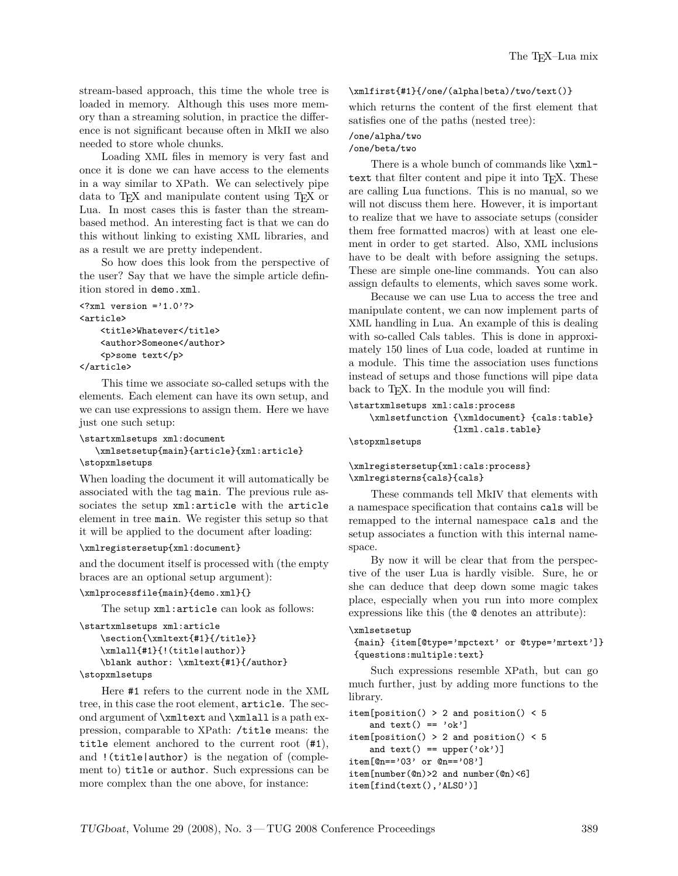stream-based approach, this time the whole tree is loaded in memory. Although this uses more memory than a streaming solution, in practice the difference is not significant because often in MkII we also needed to store whole chunks.

Loading XML files in memory is very fast and once it is done we can have access to the elements in a way similar to XPath. We can selectively pipe data to TEX and manipulate content using TEX or Lua. In most cases this is faster than the streambased method. An interesting fact is that we can do this without linking to existing XML libraries, and as a result we are pretty independent.

So how does this look from the perspective of the user? Say that we have the simple article definition stored in demo.xml.

```
\langle ?xm1 version ='1.0'?>
<article>
    <title>Whatever</title>
    <author>Someone</author>
    <p>some text</p>
</article>
```
This time we associate so-called setups with the elements. Each element can have its own setup, and we can use expressions to assign them. Here we have just one such setup:

```
\startxmlsetups xml:document
   \xmlsetsetup{main}{article}{xml:article}
\stopxmlsetups
```
When loading the document it will automatically be associated with the tag main. The previous rule associates the setup xml:article with the article element in tree main. We register this setup so that it will be applied to the document after loading:

#### \xmlregistersetup{xml:document}

and the document itself is processed with (the empty braces are an optional setup argument):

#### \xmlprocessfile{main}{demo.xml}{}

The setup xml:article can look as follows:

```
\startxmlsetups xml:article
    \section{\xmltext{#1}{/title}}
    \xmlall{#1}{!(title|author)}
    \blank author: \xmltext{#1}{/author}
\stopxmlsetups
```
Here #1 refers to the current node in the XML tree, in this case the root element, article. The second argument of \xmltext and \xmlall is a path expression, comparable to XPath: /title means: the title element anchored to the current root (#1), and !(title|author) is the negation of (complement to) title or author. Such expressions can be more complex than the one above, for instance:

#### \xmlfirst{#1}{/one/(alpha|beta)/two/text()}

which returns the content of the first element that satisfies one of the paths (nested tree):

#### /one/alpha/two /one/beta/two

There is a whole bunch of commands like \xmltext that filter content and pipe it into T<sub>E</sub>X. These are calling Lua functions. This is no manual, so we will not discuss them here. However, it is important to realize that we have to associate setups (consider them free formatted macros) with at least one element in order to get started. Also, XML inclusions have to be dealt with before assigning the setups. These are simple one-line commands. You can also assign defaults to elements, which saves some work.

Because we can use Lua to access the tree and manipulate content, we can now implement parts of XML handling in Lua. An example of this is dealing with so-called Cals tables. This is done in approximately 150 lines of Lua code, loaded at runtime in a module. This time the association uses functions instead of setups and those functions will pipe data back to T<sub>E</sub>X. In the module you will find:

```
\startxmlsetups xml:cals:process
```
\xmlsetfunction {\xmldocument} {cals:table} {lxml.cals.table}

#### \stopxmlsetups

#### \xmlregistersetup{xml:cals:process} \xmlregisterns{cals}{cals}

These commands tell MkIV that elements with a namespace specification that contains cals will be remapped to the internal namespace cals and the setup associates a function with this internal namespace.

By now it will be clear that from the perspective of the user Lua is hardly visible. Sure, he or she can deduce that deep down some magic takes place, especially when you run into more complex expressions like this (the @ denotes an attribute):

```
\xmlsetsetup
```

```
{main} {item[@type='mpctext' or @type='mrtext']}
{questions:multiple:text}
```
Such expressions resemble XPath, but can go much further, just by adding more functions to the library.

```
item[position() > 2 and position() < 5
    and text() == 'ok']
item[position() > 2 and position() < 5
    and text() == upper('ok')]
item[@n=='03' or @n=='08']
item[number(@n)>2 and number(@n)<6]
item[find(text(),'ALSO')]
```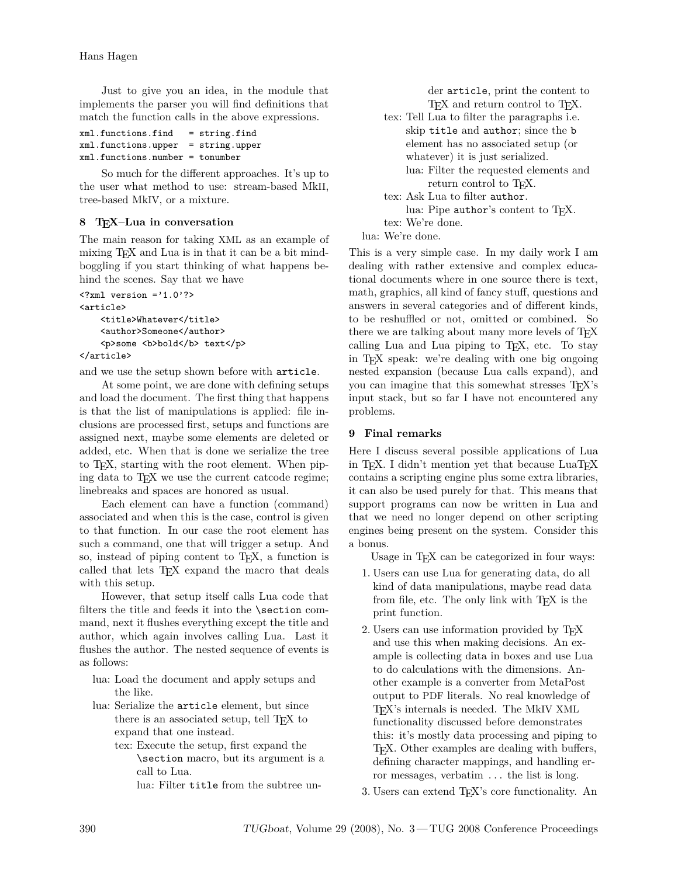Hans Hagen

Just to give you an idea, in the module that implements the parser you will find definitions that match the function calls in the above expressions.

| xml.functions.find                   | $=$ string.find |
|--------------------------------------|-----------------|
| $xml.functions.upper = string.upper$ |                 |
| $xml.functions_number = tonumber$    |                 |

So much for the different approaches. It's up to the user what method to use: stream-based MkII, tree-based MkIV, or a mixture.

# **8 TEX–Lua in conversation**

The main reason for taking XML as an example of mixing T<sub>E</sub>X and Lua is in that it can be a bit mindboggling if you start thinking of what happens behind the scenes. Say that we have

```
\langle ? \text{xml version} = '1.0'?
<article>
    <title>Whatever</title>
    <author>Someone</author>
    <p>some <b>bold</b> text</p>
</article>
```
and we use the setup shown before with article.

At some point, we are done with defining setups and load the document. The first thing that happens is that the list of manipulations is applied: file inclusions are processed first, setups and functions are assigned next, maybe some elements are deleted or added, etc. When that is done we serialize the tree to TEX, starting with the root element. When piping data to T<sub>E</sub>X we use the current catcode regime; linebreaks and spaces are honored as usual.

Each element can have a function (command) associated and when this is the case, control is given to that function. In our case the root element has such a command, one that will trigger a setup. And so, instead of piping content to T<sub>E</sub>X, a function is called that lets T<sub>E</sub>X expand the macro that deals with this setup.

However, that setup itself calls Lua code that filters the title and feeds it into the \section command, next it flushes everything except the title and author, which again involves calling Lua. Last it flushes the author. The nested sequence of events is as follows:

- lua: Load the document and apply setups and the like.
- lua: Serialize the article element, but since there is an associated setup, tell T<sub>E</sub>X to expand that one instead.
	- tex: Execute the setup, first expand the \section macro, but its argument is a call to Lua.

lua: Filter title from the subtree un-

der article, print the content to T<sub>E</sub>X and return control to T<sub>E</sub>X.

tex: Tell Lua to filter the paragraphs i.e. skip title and author; since the b element has no associated setup (or whatever) it is just serialized. lua: Filter the requested elements and return control to T<sub>F</sub>X. tex: Ask Lua to filter author. lua: Pipe author's content to T<sub>E</sub>X. tex: We're done. lua: We're done.

This is a very simple case. In my daily work I am dealing with rather extensive and complex educational documents where in one source there is text, math, graphics, all kind of fancy stuff, questions and answers in several categories and of different kinds, to be reshuffled or not, omitted or combined. So there we are talking about many more levels of T<sub>E</sub>X calling Lua and Lua piping to T<sub>E</sub>X, etc. To stay in TEX speak: we're dealing with one big ongoing nested expansion (because Lua calls expand), and you can imagine that this somewhat stresses TEX's input stack, but so far I have not encountered any problems.

### **9 Final remarks**

Here I discuss several possible applications of Lua in T<sub>E</sub>X. I didn't mention yet that because  $\text{Luar}_\text{E}$ X contains a scripting engine plus some extra libraries, it can also be used purely for that. This means that support programs can now be written in Lua and that we need no longer depend on other scripting engines being present on the system. Consider this a bonus.

Usage in T<sub>EX</sub> can be categorized in four ways:

- 1. Users can use Lua for generating data, do all kind of data manipulations, maybe read data from file, etc. The only link with T<sub>E</sub>X is the print function.
- 2. Users can use information provided by TEX and use this when making decisions. An example is collecting data in boxes and use Lua to do calculations with the dimensions. Another example is a converter from MetaPost output to PDF literals. No real knowledge of TEX's internals is needed. The MkIV XML functionality discussed before demonstrates this: it's mostly data processing and piping to TEX. Other examples are dealing with buffers, defining character mappings, and handling error messages, verbatim . . . the list is long.

3. Users can extend TEX's core functionality. An